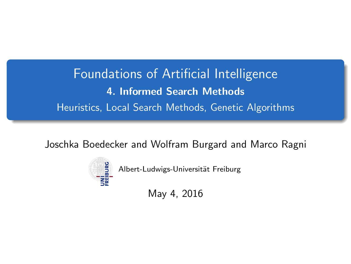<span id="page-0-0"></span>Foundations of Artificial Intelligence 4. Informed Search Methods Heuristics, Local Search Methods, Genetic Algorithms

Joschka Boedecker and Wolfram Burgard and Marco Ragni



Albert-Ludwigs-Universität Freiburg

May 4, 2016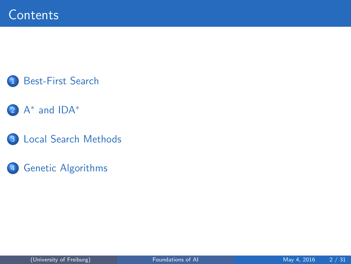

### 2 A<sup>\*</sup> [and IDA](#page-9-0)<sup>\*</sup>

3 [Local Search Methods](#page-20-0)

#### 4 [Genetic Algorithms](#page-29-0)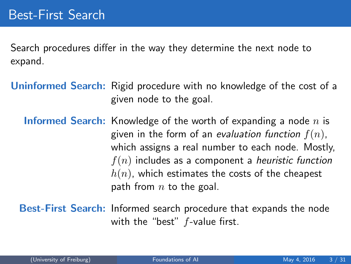<span id="page-2-0"></span>Search procedures differ in the way they determine the next node to expand.

- Uninformed Search: Rigid procedure with no knowledge of the cost of a given node to the goal.
	- **Informed Search:** Knowledge of the worth of expanding a node  $n$  is given in the form of an evaluation function  $f(n)$ , which assigns a real number to each node. Mostly,  $f(n)$  includes as a component a heuristic function  $h(n)$ , which estimates the costs of the cheapest path from  $n$  to the goal.
	- Best-First Search: Informed search procedure that expands the node with the "best" f-value first.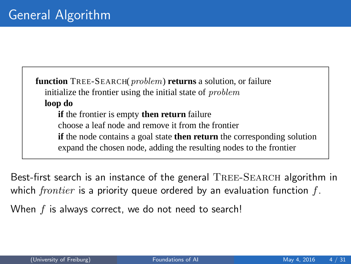**function** TREE-SEARCH(problem) **returns** a solution, or failure initialize the frontier using the initial state of problem **loop do if** the frontier is empty **then return** failure choose a leaf node and remove it from the frontier **if** the node contains a goal state **then return** the corresponding solution expand the chosen node, adding the resulting nodes to the frontier

**function** GRAPH-SEARCH(problem) **returns** a solution, or failure Best-first search is an instance of the general  $\mathrm{Tree}\text{-}\mathrm{SEARCH}$  algorithm in *initialize the explored set to be empty* which frontier is a priority queue ordered by an evaluation function f.

**loop do** When  $f$  is always correct, we do not need to search!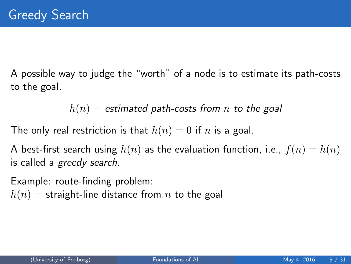A possible way to judge the "worth" of a node is to estimate its path-costs to the goal.

 $h(n)$  = estimated path-costs from n to the goal

The only real restriction is that  $h(n) = 0$  if n is a goal.

A best-first search using  $h(n)$  as the evaluation function, i.e.,  $f(n) = h(n)$ is called a greedy search.

Example: route-finding problem:

 $h(n)$  = straight-line distance from n to the goal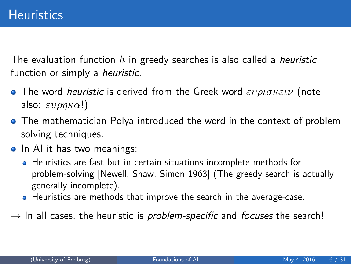The evaluation function h in greedy searches is also called a heuristic function or simply a *heuristic*.

- **•** The word *heuristic* is derived from the Greek word  $\varepsilon v \rho \iota \sigma \kappa \varepsilon \iota \nu$  (note also:  $\epsilon v \rho \eta \kappa \alpha!$ )
- **•** The mathematician Polya introduced the word in the context of problem solving techniques.
- In AI it has two meanings:
	- Heuristics are fast but in certain situations incomplete methods for problem-solving [Newell, Shaw, Simon 1963] (The greedy search is actually generally incomplete).
	- Heuristics are methods that improve the search in the average-case.
- $\rightarrow$  In all cases, the heuristic is *problem-specific* and *focuses* the search!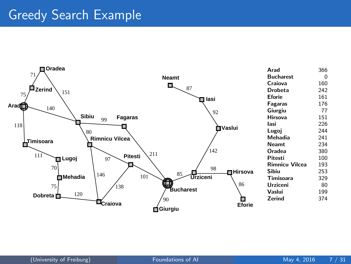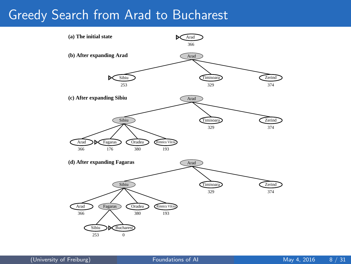### Greedy Search from Arad to Bucharest

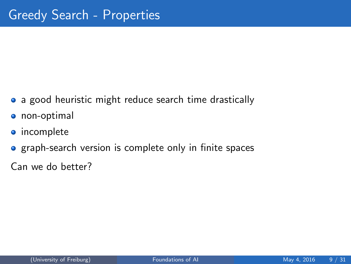- a good heuristic might reduce search time drastically
- **o** non-optimal
- **o** incomplete
- **•** graph-search version is complete only in finite spaces

Can we do better?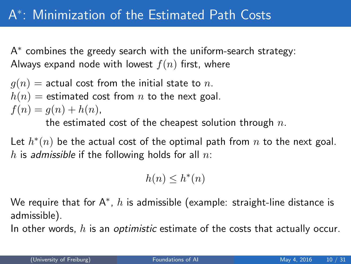# <span id="page-9-0"></span>A ∗ : Minimization of the Estimated Path Costs

A ∗ combines the greedy search with the uniform-search strategy: Always expand node with lowest  $f(n)$  first, where

 $g(n)$  = actual cost from the initial state to n.  $h(n)$  = estimated cost from n to the next goal.  $f(n) = q(n) + h(n),$ the estimated cost of the cheapest solution through  $n$ .

Let  $h^*(n)$  be the actual cost of the optimal path from  $n$  to the next goal. h is admissible if the following holds for all  $n$ .

$$
h(n) \leq h^*(n)
$$

We require that for A $^\ast$ ,  $h$  is admissible (example: straight-line distance is admissible).

In other words,  $h$  is an *optimistic* estimate of the costs that actually occur.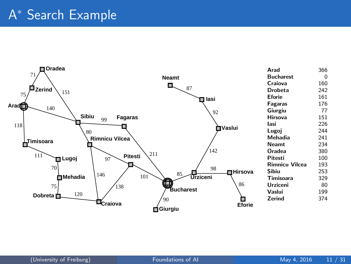# A <sup>∗</sup> Search Example

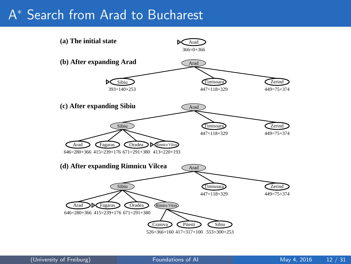# A <sup>∗</sup> Search from Arad to Bucharest

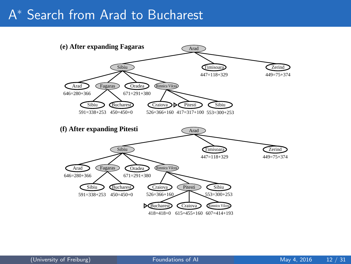# A<sup>\*</sup> Search from Arad to Bucharest

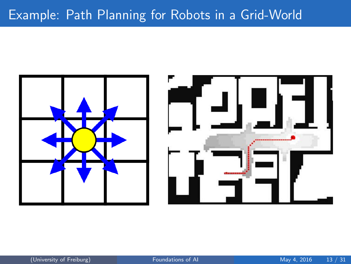## Example: Path Planning for Robots in a Grid-World

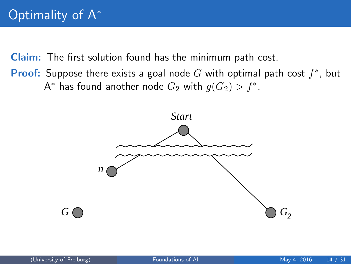Claim: The first solution found has the minimum path cost.

**Proof:** Suppose there exists a goal node  $G$  with optimal path cost  $f^*$ , but A\* has found another node  $G_2$  with  $g(G_2) > f^*$ .

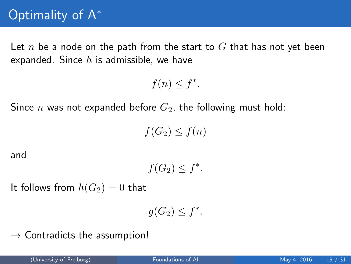Let n be a node on the path from the start to  $G$  that has not yet been expanded. Since  $h$  is admissible, we have

 $f(n) \leq f^*$ .

Since *n* was not expanded before  $G_2$ , the following must hold:

 $f(G_2) < f(n)$ 

and

$$
f(G_2) \le f^*.
$$

It follows from  $h(G_2) = 0$  that

$$
g(G_2) \le f^*.
$$

 $\rightarrow$  Contradicts the assumption!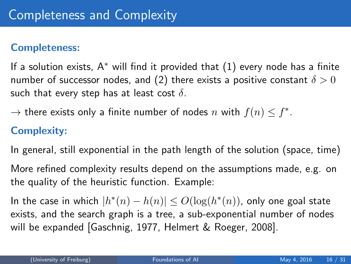#### Completeness:

If a solution exists,  $A^*$  will find it provided that  $(1)$  every node has a finite number of successor nodes, and (2) there exists a positive constant  $\delta > 0$ such that every step has at least cost  $\delta$ .

 $\rightarrow$  there exists only a finite number of nodes n with  $f(n) \leq f^*$ .

### Complexity:

In general, still exponential in the path length of the solution (space, time)

More refined complexity results depend on the assumptions made, e.g. on the quality of the heuristic function. Example:

In the case in which  $|h^*(n) - h(n)| \leq O(\log(h^*(n))$ , only one goal state exists, and the search graph is a tree, a sub-exponential number of nodes will be expanded [Gaschnig, 1977, Helmert & Roeger, 2008].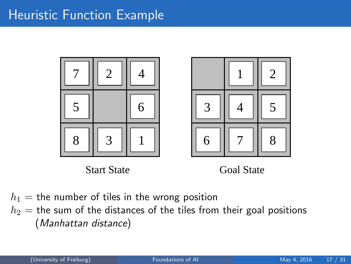### **Heuristic Function Example**





Start State Goal State

 $h_1$  = the number of tiles in the wrong position  $h_2$  = the sum of the distances of the tiles from their goal positions (Manhattan distance)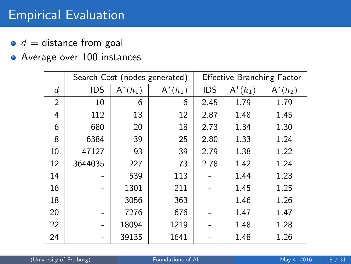## Empirical Evaluation

- $\bullet$  d = distance from goal
- Average over 100 instances

|                  |            | Search Cost (nodes generated) | <b>Effective Branching Factor</b> |            |            |            |
|------------------|------------|-------------------------------|-----------------------------------|------------|------------|------------|
| $\boldsymbol{d}$ | <b>IDS</b> | $\mathsf{A}^*(h_1)$           | $A^*(h_2)$                        | <b>IDS</b> | $A^*(h_1)$ | $A^*(h_2)$ |
| $\overline{2}$   | 10         | 6                             | 6                                 | 2.45       | 1.79       | 1.79       |
| 4                | 112        | 13                            | 12                                | 2.87       | 1.48       | 1.45       |
| 6                | 680        | 20                            | 18                                | 2.73       | 1.34       | 1.30       |
| 8                | 6384       | 39                            | 25                                | 2.80       | 1.33       | 1.24       |
| 10               | 47127      | 93                            | 39                                | 2.79       | 1.38       | 1.22       |
| 12               | 3644035    | 227                           | 73                                | 2.78       | 1.42       | 1.24       |
| 14               |            | 539                           | 113                               |            | 1.44       | 1.23       |
| 16               |            | 1301                          | 211                               |            | 1.45       | 1.25       |
| 18               |            | 3056                          | 363                               |            | 1.46       | 1.26       |
| 20               |            | 7276                          | 676                               |            | 1.47       | 1.47       |
| 22               |            | 18094                         | 1219                              |            | 1.48       | 1.28       |
| 24               |            | 39135                         | 1641                              |            | 1.48       | 1.26       |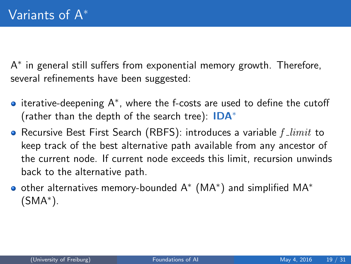A ∗ in general still suffers from exponential memory growth. Therefore, several refinements have been suggested:

- iterative-deepening A<sup>∗</sup> , where the f-costs are used to define the cutoff (rather than the depth of the search tree):  $IDA^*$
- Recursive Best First Search (RBFS): introduces a variable  $f\_limit$  to keep track of the best alternative path available from any ancestor of the current node. If current node exceeds this limit, recursion unwinds back to the alternative path.
- other alternatives memory-bounded A<sup>\*</sup> (MA<sup>\*</sup>) and simplified MA<sup>\*</sup> (SMA<sup>∗</sup> ).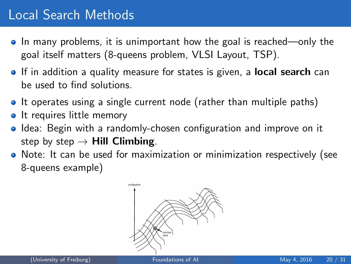## <span id="page-20-0"></span>Local Search Methods

- In many problems, it is unimportant how the goal is reached—only the goal itself matters (8-queens problem, VLSI Layout, TSP).
- If in addition a quality measure for states is given, a **local search** can be used to find solutions.
- It operates using a single current node (rather than multiple paths)
- It requires little memory  $\bullet$
- Idea: Begin with a randomly-chosen configuration and improve on it step by step  $\rightarrow$  Hill Climbing.
- Note: It can be used for maximization or minimization respectively (see 8-queens example)

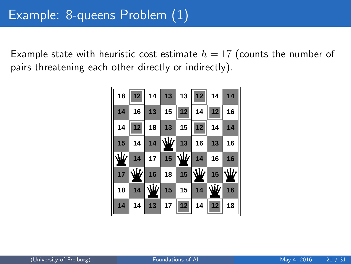Example state with heuristic cost estimate  $h = 17$  (counts the number of pairs threatening each other directly or indirectly).

|                                  | 18 12 14 13 13 12 14 14                       |  |                                |    |
|----------------------------------|-----------------------------------------------|--|--------------------------------|----|
| $14$ 16                          |                                               |  | $13$ 15 12 14 12 16            |    |
| 14   12   18   13   15   12   14 |                                               |  |                                | 14 |
|                                  | $15$ 14                                       |  | $14$ $\frac{W}{4}$ 13 16 13 16 |    |
|                                  | $\frac{1}{2}$ 14 17 15 $\frac{1}{2}$ 14 16 16 |  |                                |    |
|                                  | 17 V 16 18 15 V 15 V                          |  |                                |    |
| 18                               | $14$ $\frac{1}{2}$ 15 15 14 $\frac{1}{2}$ 16  |  |                                |    |
|                                  | 14 14 13 17 12 14 12 18                       |  |                                |    |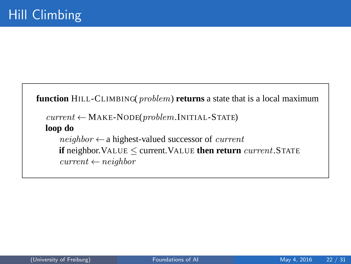```
function HILL-CLIMBING(problem) returns a state that is a local maximum
current \leftarrow \text{MAKE-NODE}(problem.\text{INITIAL-STATE})loop do
    neighbor \leftarrow a highest-valued successor of current
    if neighbor. VALUE \leq current. VALUE then return current. STATE
    current \leftarrow neighbor
```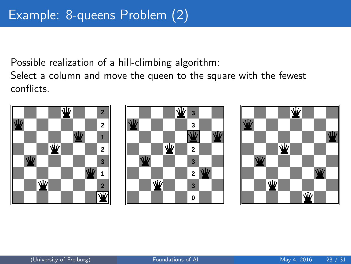Possible realization of a hill-climbing algorithm:

Select a column and move the queen to the square with the fewest conflicts.

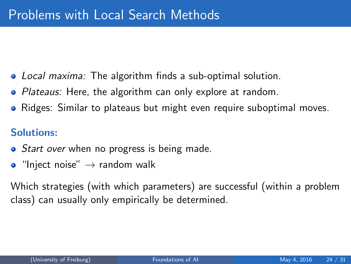- Local maxima: The algorithm finds a sub-optimal solution.
- Plateaus: Here, the algorithm can only explore at random.
- Ridges: Similar to plateaus but might even require suboptimal moves.

### Solutions:

- *Start over* when no progress is being made.
- $\bullet$  "Inject noise"  $\rightarrow$  random walk

Which strategies (with which parameters) are successful (within a problem class) can usually only empirically be determined.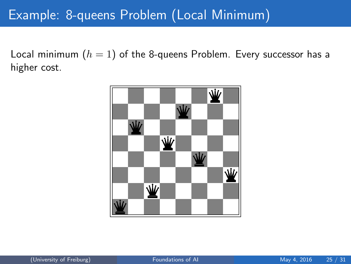## Example: 8-queens Problem (Local Minimum)

Local minimum  $(h = 1)$  of the 8-queens Problem. Every successor has a higher cost.

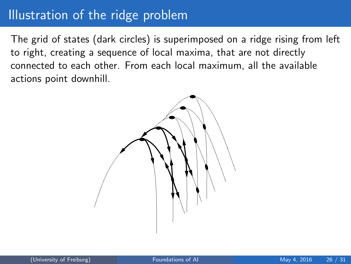### Illustration of the ridge problem

The grid of states (dark circles) is superimposed on a ridge rising from left to right, creating a sequence of local maxima, that are not directly connected to each other. From each local maximum, all the available actions point downhill.

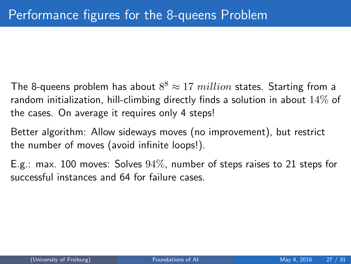- The 8-queens problem has about  $8^8 \approx 17\ million$  states. Starting from a random initialization, hill-climbing directly finds a solution in about 14% of the cases. On average it requires only 4 steps!
- Better algorithm: Allow sideways moves (no improvement), but restrict the number of moves (avoid infinite loops!).
- E.g.: max. 100 moves: Solves 94%, number of steps raises to 21 steps for successful instances and 64 for failure cases.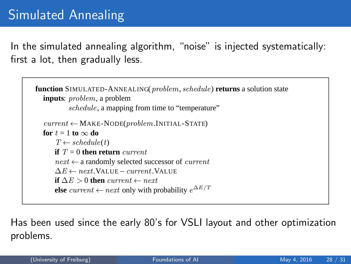In the simulated annealing algorithm, "noise" is injected systematically: first a lot, then gradually less.

```
function SIMULATED-ANNEALING(problem, schedule) returns a solution state
inputs: problem, a problem
        schedule, a mapping from time to "temperature"
current \leftarrow \text{MAKE-NODE}(problem, \text{INITIAL-STATE})
    T \leftarrow schedule(t)if T = 0 then return current
    next \leftarrow a randomly selected successor of current
    \Delta E \leftarrow next. VALUE – current. VALUE
    if \Delta E > 0 then current ← next
    else current ← next only with probability e^{\Delta E/T}
```
**Figure 4.5** The simulated annealing algorithm, a version of stochastic hill climbing where some Has been used since the early 80's for VSLI layout and other optimization  $\mathsf{S}$ . problems.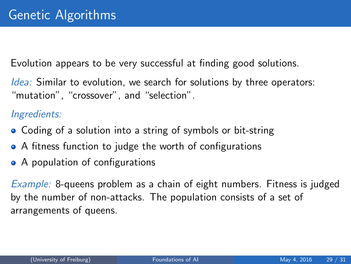<span id="page-29-0"></span>Evolution appears to be very successful at finding good solutions.

Idea: Similar to evolution, we search for solutions by three operators: "mutation", "crossover", and "selection".

#### Ingredients:

- Coding of a solution into a string of symbols or bit-string
- A fitness function to judge the worth of configurations
- A population of configurations

Example: 8-queens problem as a chain of eight numbers. Fitness is judged by the number of non-attacks. The population consists of a set of arrangements of queens.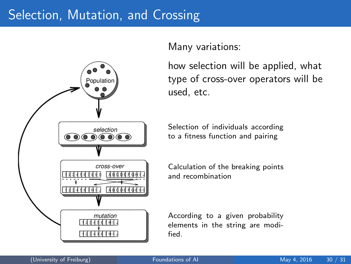### Selection, Mutation, and Crossing



Many variations:

how selection will be applied, what type of cross-over operators will be used, etc.

Selection of individuals according to a fitness function and pairing

Calculation of the breaking points and recombination

According to a given probability elements in the string are modified.